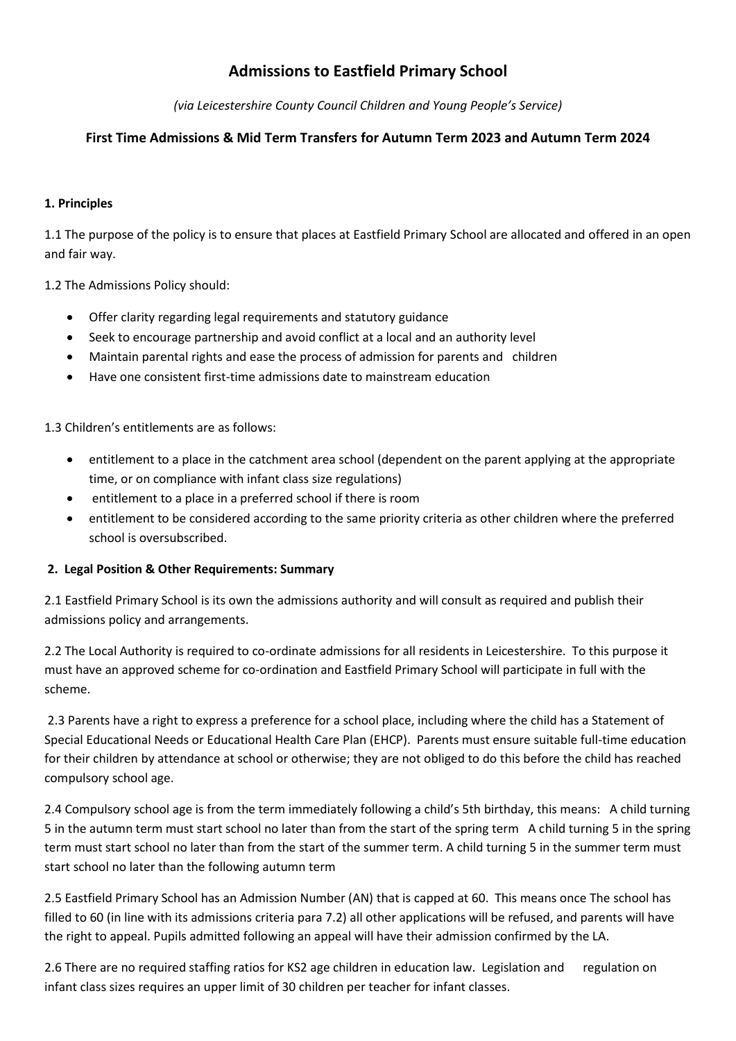# **Admissions to Eastfield Primary School**

*(via Leicestershire County Council Children and Young People's Service)*

## **First Time Admissions & Mid Term Transfers for Autumn Term 2023 and Autumn Term 2024**

## **1. Principles**

1.1 The purpose of the policy is to ensure that places at Eastfield Primary School are allocated and offered in an open and fair way.

1.2 The Admissions Policy should:

- Offer clarity regarding legal requirements and statutory guidance
- Seek to encourage partnership and avoid conflict at a local and an authority level
- Maintain parental rights and ease the process of admission for parents and children
- Have one consistent first-time admissions date to mainstream education

1.3 Children's entitlements are as follows:

- entitlement to a place in the catchment area school (dependent on the parent applying at the appropriate time, or on compliance with infant class size regulations)
- entitlement to a place in a preferred school if there is room
- entitlement to be considered according to the same priority criteria as other children where the preferred school is oversubscribed.

## **2. Legal Position & Other Requirements: Summary**

2.1 Eastfield Primary School is its own the admissions authority and will consult as required and publish their admissions policy and arrangements.

2.2 The Local Authority is required to co-ordinate admissions for all residents in Leicestershire. To this purpose it must have an approved scheme for co-ordination and Eastfield Primary School will participate in full with the scheme.

2.3 Parents have a right to express a preference for a school place, including where the child has a Statement of Special Educational Needs or Educational Health Care Plan (EHCP). Parents must ensure suitable full-time education for their children by attendance at school or otherwise; they are not obliged to do this before the child has reached compulsory school age.

2.4 Compulsory school age is from the term immediately following a child's 5th birthday, this means: A child turning 5 in the autumn term must start school no later than from the start of the spring term A child turning 5 in the spring term must start school no later than from the start of the summer term. A child turning 5 in the summer term must start school no later than the following autumn term

2.5 Eastfield Primary School has an Admission Number (AN) that is capped at 60. This means once The school has filled to 60 (in line with its admissions criteria para 7.2) all other applications will be refused, and parents will have the right to appeal. Pupils admitted following an appeal will have their admission confirmed by the LA.

2.6 There are no required staffing ratios for KS2 age children in education law. Legislation and regulation on infant class sizes requires an upper limit of 30 children per teacher for infant classes.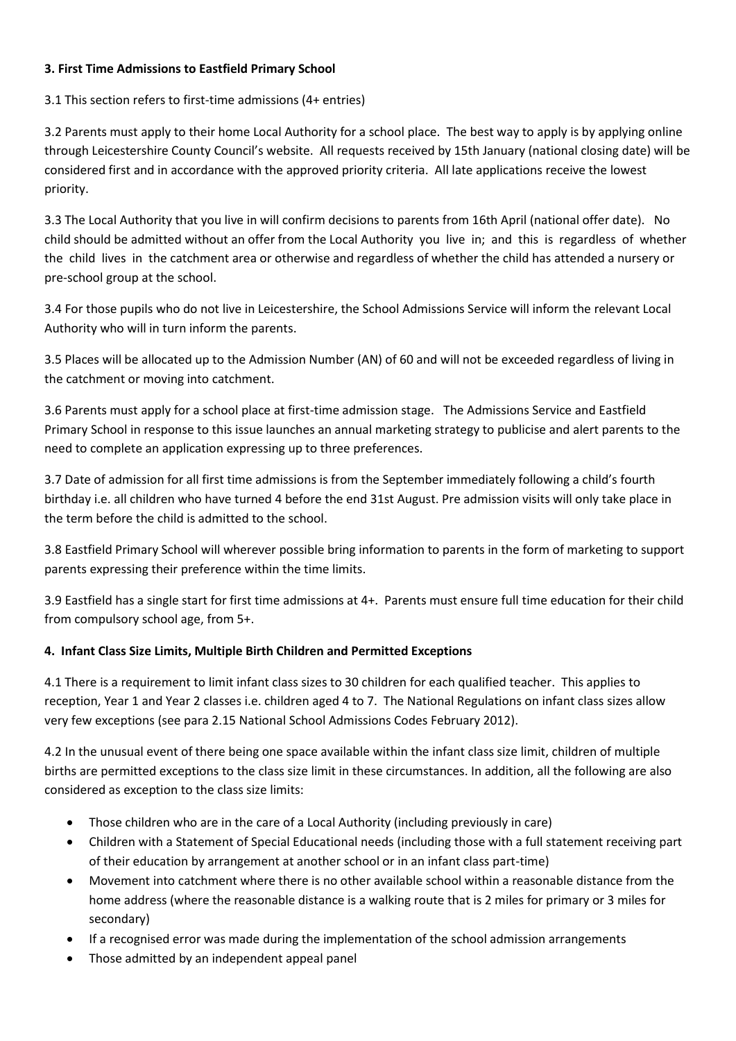## **3. First Time Admissions to Eastfield Primary School**

3.1 This section refers to first-time admissions (4+ entries)

3.2 Parents must apply to their home Local Authority for a school place. The best way to apply is by applying online through Leicestershire County Council's website. All requests received by 15th January (national closing date) will be considered first and in accordance with the approved priority criteria. All late applications receive the lowest priority.

3.3 The Local Authority that you live in will confirm decisions to parents from 16th April (national offer date). No child should be admitted without an offer from the Local Authority you live in; and this is regardless of whether the child lives in the catchment area or otherwise and regardless of whether the child has attended a nursery or pre-school group at the school.

3.4 For those pupils who do not live in Leicestershire, the School Admissions Service will inform the relevant Local Authority who will in turn inform the parents.

3.5 Places will be allocated up to the Admission Number (AN) of 60 and will not be exceeded regardless of living in the catchment or moving into catchment.

3.6 Parents must apply for a school place at first-time admission stage. The Admissions Service and Eastfield Primary School in response to this issue launches an annual marketing strategy to publicise and alert parents to the need to complete an application expressing up to three preferences.

3.7 Date of admission for all first time admissions is from the September immediately following a child's fourth birthday i.e. all children who have turned 4 before the end 31st August. Pre admission visits will only take place in the term before the child is admitted to the school.

3.8 Eastfield Primary School will wherever possible bring information to parents in the form of marketing to support parents expressing their preference within the time limits.

3.9 Eastfield has a single start for first time admissions at 4+. Parents must ensure full time education for their child from compulsory school age, from 5+.

## **4. Infant Class Size Limits, Multiple Birth Children and Permitted Exceptions**

4.1 There is a requirement to limit infant class sizes to 30 children for each qualified teacher. This applies to reception, Year 1 and Year 2 classes i.e. children aged 4 to 7. The National Regulations on infant class sizes allow very few exceptions (see para 2.15 National School Admissions Codes February 2012).

4.2 In the unusual event of there being one space available within the infant class size limit, children of multiple births are permitted exceptions to the class size limit in these circumstances. In addition, all the following are also considered as exception to the class size limits:

- Those children who are in the care of a Local Authority (including previously in care)
- Children with a Statement of Special Educational needs (including those with a full statement receiving part of their education by arrangement at another school or in an infant class part-time)
- Movement into catchment where there is no other available school within a reasonable distance from the home address (where the reasonable distance is a walking route that is 2 miles for primary or 3 miles for secondary)
- If a recognised error was made during the implementation of the school admission arrangements
- Those admitted by an independent appeal panel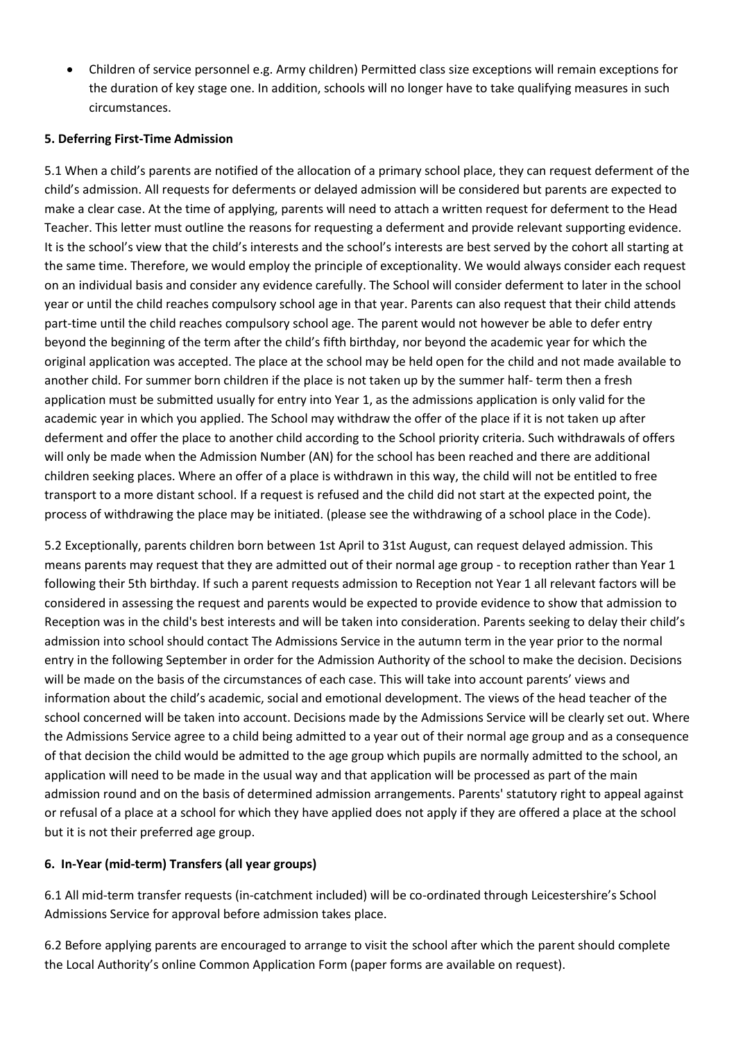Children of service personnel e.g. Army children) Permitted class size exceptions will remain exceptions for the duration of key stage one. In addition, schools will no longer have to take qualifying measures in such circumstances.

## **5. Deferring First-Time Admission**

5.1 When a child's parents are notified of the allocation of a primary school place, they can request deferment of the child's admission. All requests for deferments or delayed admission will be considered but parents are expected to make a clear case. At the time of applying, parents will need to attach a written request for deferment to the Head Teacher. This letter must outline the reasons for requesting a deferment and provide relevant supporting evidence. It is the school's view that the child's interests and the school's interests are best served by the cohort all starting at the same time. Therefore, we would employ the principle of exceptionality. We would always consider each request on an individual basis and consider any evidence carefully. The School will consider deferment to later in the school year or until the child reaches compulsory school age in that year. Parents can also request that their child attends part-time until the child reaches compulsory school age. The parent would not however be able to defer entry beyond the beginning of the term after the child's fifth birthday, nor beyond the academic year for which the original application was accepted. The place at the school may be held open for the child and not made available to another child. For summer born children if the place is not taken up by the summer half- term then a fresh application must be submitted usually for entry into Year 1, as the admissions application is only valid for the academic year in which you applied. The School may withdraw the offer of the place if it is not taken up after deferment and offer the place to another child according to the School priority criteria. Such withdrawals of offers will only be made when the Admission Number (AN) for the school has been reached and there are additional children seeking places. Where an offer of a place is withdrawn in this way, the child will not be entitled to free transport to a more distant school. If a request is refused and the child did not start at the expected point, the process of withdrawing the place may be initiated. (please see the withdrawing of a school place in the Code).

5.2 Exceptionally, parents children born between 1st April to 31st August, can request delayed admission. This means parents may request that they are admitted out of their normal age group - to reception rather than Year 1 following their 5th birthday. If such a parent requests admission to Reception not Year 1 all relevant factors will be considered in assessing the request and parents would be expected to provide evidence to show that admission to Reception was in the child's best interests and will be taken into consideration. Parents seeking to delay their child's admission into school should contact The Admissions Service in the autumn term in the year prior to the normal entry in the following September in order for the Admission Authority of the school to make the decision. Decisions will be made on the basis of the circumstances of each case. This will take into account parents' views and information about the child's academic, social and emotional development. The views of the head teacher of the school concerned will be taken into account. Decisions made by the Admissions Service will be clearly set out. Where the Admissions Service agree to a child being admitted to a year out of their normal age group and as a consequence of that decision the child would be admitted to the age group which pupils are normally admitted to the school, an application will need to be made in the usual way and that application will be processed as part of the main admission round and on the basis of determined admission arrangements. Parents' statutory right to appeal against or refusal of a place at a school for which they have applied does not apply if they are offered a place at the school but it is not their preferred age group.

## **6. In-Year (mid-term) Transfers (all year groups)**

6.1 All mid-term transfer requests (in-catchment included) will be co-ordinated through Leicestershire's School Admissions Service for approval before admission takes place.

6.2 Before applying parents are encouraged to arrange to visit the school after which the parent should complete the Local Authority's online Common Application Form (paper forms are available on request).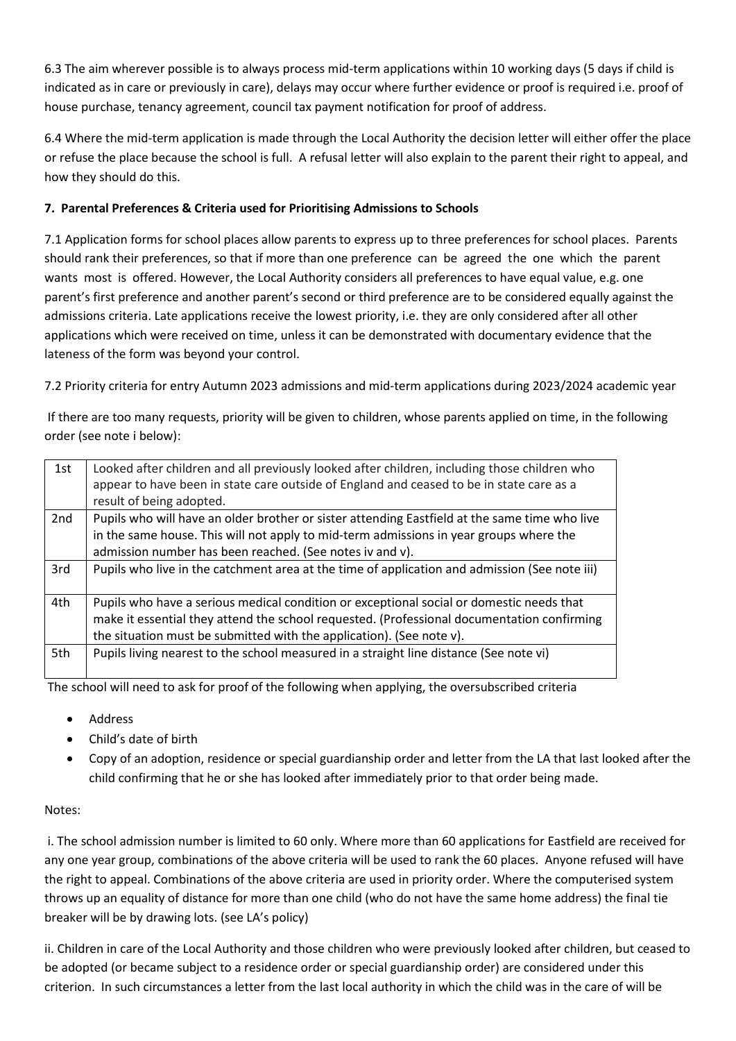6.3 The aim wherever possible is to always process mid-term applications within 10 working days (5 days if child is indicated as in care or previously in care), delays may occur where further evidence or proof is required i.e. proof of house purchase, tenancy agreement, council tax payment notification for proof of address.

6.4 Where the mid-term application is made through the Local Authority the decision letter will either offer the place or refuse the place because the school is full. A refusal letter will also explain to the parent their right to appeal, and how they should do this.

## **7. Parental Preferences & Criteria used for Prioritising Admissions to Schools**

7.1 Application forms for school places allow parents to express up to three preferences for school places. Parents should rank their preferences, so that if more than one preference can be agreed the one which the parent wants most is offered. However, the Local Authority considers all preferences to have equal value, e.g. one parent's first preference and another parent's second or third preference are to be considered equally against the admissions criteria. Late applications receive the lowest priority, i.e. they are only considered after all other applications which were received on time, unless it can be demonstrated with documentary evidence that the lateness of the form was beyond your control.

7.2 Priority criteria for entry Autumn 2023 admissions and mid-term applications during 2023/2024 academic year

If there are too many requests, priority will be given to children, whose parents applied on time, in the following order (see note i below):

| 1st | Looked after children and all previously looked after children, including those children who<br>appear to have been in state care outside of England and ceased to be in state care as a<br>result of being adopted.                                           |
|-----|----------------------------------------------------------------------------------------------------------------------------------------------------------------------------------------------------------------------------------------------------------------|
| 2nd | Pupils who will have an older brother or sister attending Eastfield at the same time who live<br>in the same house. This will not apply to mid-term admissions in year groups where the<br>admission number has been reached. (See notes iv and v).            |
| 3rd | Pupils who live in the catchment area at the time of application and admission (See note iii)                                                                                                                                                                  |
| 4th | Pupils who have a serious medical condition or exceptional social or domestic needs that<br>make it essential they attend the school requested. (Professional documentation confirming<br>the situation must be submitted with the application). (See note v). |
| 5th | Pupils living nearest to the school measured in a straight line distance (See note vi)                                                                                                                                                                         |

The school will need to ask for proof of the following when applying, the oversubscribed criteria

- Address
- Child's date of birth
- Copy of an adoption, residence or special guardianship order and letter from the LA that last looked after the child confirming that he or she has looked after immediately prior to that order being made.

## Notes:

i. The school admission number is limited to 60 only. Where more than 60 applications for Eastfield are received for any one year group, combinations of the above criteria will be used to rank the 60 places. Anyone refused will have the right to appeal. Combinations of the above criteria are used in priority order. Where the computerised system throws up an equality of distance for more than one child (who do not have the same home address) the final tie breaker will be by drawing lots. (see LA's policy)

ii. Children in care of the Local Authority and those children who were previously looked after children, but ceased to be adopted (or became subject to a residence order or special guardianship order) are considered under this criterion. In such circumstances a letter from the last local authority in which the child was in the care of will be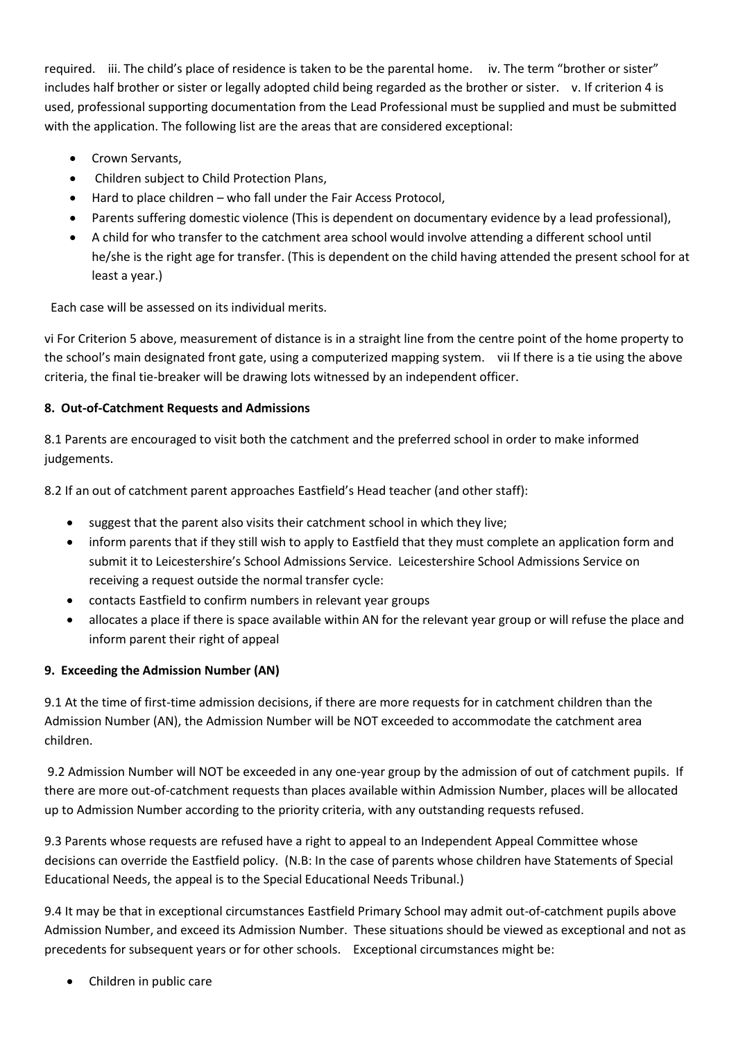required. iii. The child's place of residence is taken to be the parental home. iv. The term "brother or sister" includes half brother or sister or legally adopted child being regarded as the brother or sister. v. If criterion 4 is used, professional supporting documentation from the Lead Professional must be supplied and must be submitted with the application. The following list are the areas that are considered exceptional:

- Crown Servants.
- Children subject to Child Protection Plans,
- Hard to place children who fall under the Fair Access Protocol,
- Parents suffering domestic violence (This is dependent on documentary evidence by a lead professional),
- A child for who transfer to the catchment area school would involve attending a different school until he/she is the right age for transfer. (This is dependent on the child having attended the present school for at least a year.)

Each case will be assessed on its individual merits.

vi For Criterion 5 above, measurement of distance is in a straight line from the centre point of the home property to the school's main designated front gate, using a computerized mapping system. vii If there is a tie using the above criteria, the final tie-breaker will be drawing lots witnessed by an independent officer.

## **8. Out-of-Catchment Requests and Admissions**

8.1 Parents are encouraged to visit both the catchment and the preferred school in order to make informed judgements.

8.2 If an out of catchment parent approaches Eastfield's Head teacher (and other staff):

- suggest that the parent also visits their catchment school in which they live;
- inform parents that if they still wish to apply to Eastfield that they must complete an application form and submit it to Leicestershire's School Admissions Service. Leicestershire School Admissions Service on receiving a request outside the normal transfer cycle:
- contacts Eastfield to confirm numbers in relevant year groups
- allocates a place if there is space available within AN for the relevant year group or will refuse the place and inform parent their right of appeal

## **9. Exceeding the Admission Number (AN)**

9.1 At the time of first-time admission decisions, if there are more requests for in catchment children than the Admission Number (AN), the Admission Number will be NOT exceeded to accommodate the catchment area children.

9.2 Admission Number will NOT be exceeded in any one-year group by the admission of out of catchment pupils. If there are more out-of-catchment requests than places available within Admission Number, places will be allocated up to Admission Number according to the priority criteria, with any outstanding requests refused.

9.3 Parents whose requests are refused have a right to appeal to an Independent Appeal Committee whose decisions can override the Eastfield policy. (N.B: In the case of parents whose children have Statements of Special Educational Needs, the appeal is to the Special Educational Needs Tribunal.)

9.4 It may be that in exceptional circumstances Eastfield Primary School may admit out-of-catchment pupils above Admission Number, and exceed its Admission Number. These situations should be viewed as exceptional and not as precedents for subsequent years or for other schools. Exceptional circumstances might be:

Children in public care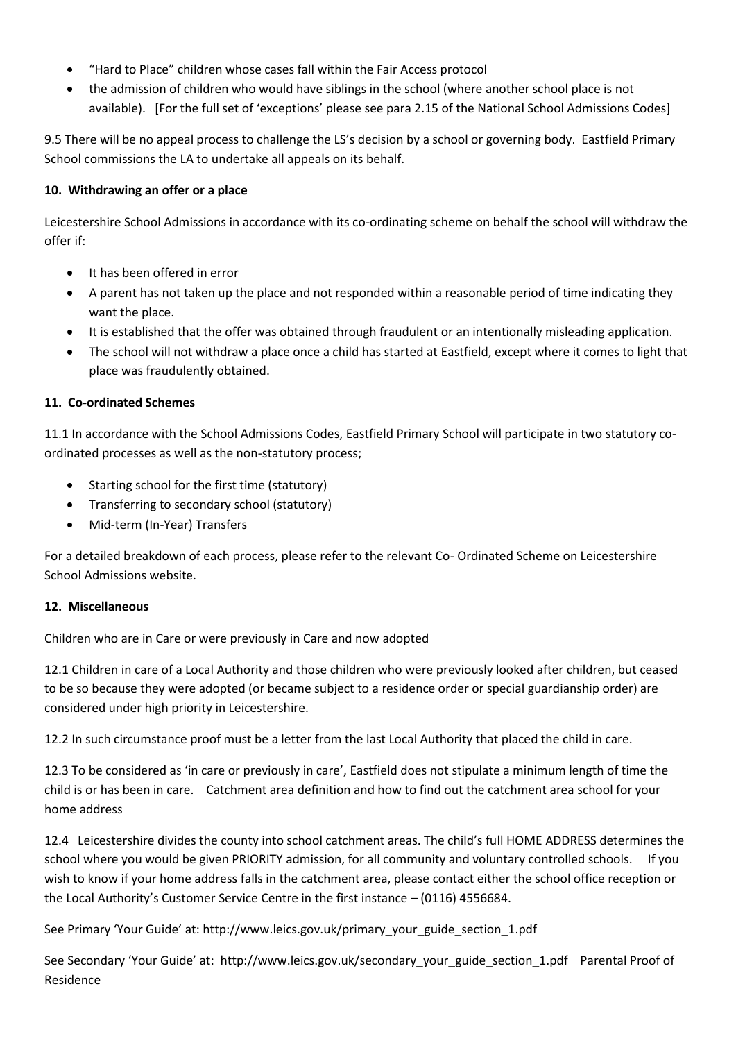- "Hard to Place" children whose cases fall within the Fair Access protocol
- the admission of children who would have siblings in the school (where another school place is not available). [For the full set of 'exceptions' please see para 2.15 of the National School Admissions Codes]

9.5 There will be no appeal process to challenge the LS's decision by a school or governing body. Eastfield Primary School commissions the LA to undertake all appeals on its behalf.

### **10. Withdrawing an offer or a place**

Leicestershire School Admissions in accordance with its co-ordinating scheme on behalf the school will withdraw the offer if:

- It has been offered in error
- A parent has not taken up the place and not responded within a reasonable period of time indicating they want the place.
- It is established that the offer was obtained through fraudulent or an intentionally misleading application.
- The school will not withdraw a place once a child has started at Eastfield, except where it comes to light that place was fraudulently obtained.

#### **11. Co-ordinated Schemes**

11.1 In accordance with the School Admissions Codes, Eastfield Primary School will participate in two statutory coordinated processes as well as the non-statutory process;

- Starting school for the first time (statutory)
- Transferring to secondary school (statutory)
- Mid-term (In-Year) Transfers

For a detailed breakdown of each process, please refer to the relevant Co- Ordinated Scheme on Leicestershire School Admissions website.

#### **12. Miscellaneous**

Children who are in Care or were previously in Care and now adopted

12.1 Children in care of a Local Authority and those children who were previously looked after children, but ceased to be so because they were adopted (or became subject to a residence order or special guardianship order) are considered under high priority in Leicestershire.

12.2 In such circumstance proof must be a letter from the last Local Authority that placed the child in care.

12.3 To be considered as 'in care or previously in care', Eastfield does not stipulate a minimum length of time the child is or has been in care. Catchment area definition and how to find out the catchment area school for your home address

12.4 Leicestershire divides the county into school catchment areas. The child's full HOME ADDRESS determines the school where you would be given PRIORITY admission, for all community and voluntary controlled schools. If you wish to know if your home address falls in the catchment area, please contact either the school office reception or the Local Authority's Customer Service Centre in the first instance – (0116) 4556684.

See Primary 'Your Guide' at: http://www.leics.gov.uk/primary\_your\_guide\_section\_1.pdf

See Secondary 'Your Guide' at: http://www.leics.gov.uk/secondary\_your\_guide\_section\_1.pdf Parental Proof of Residence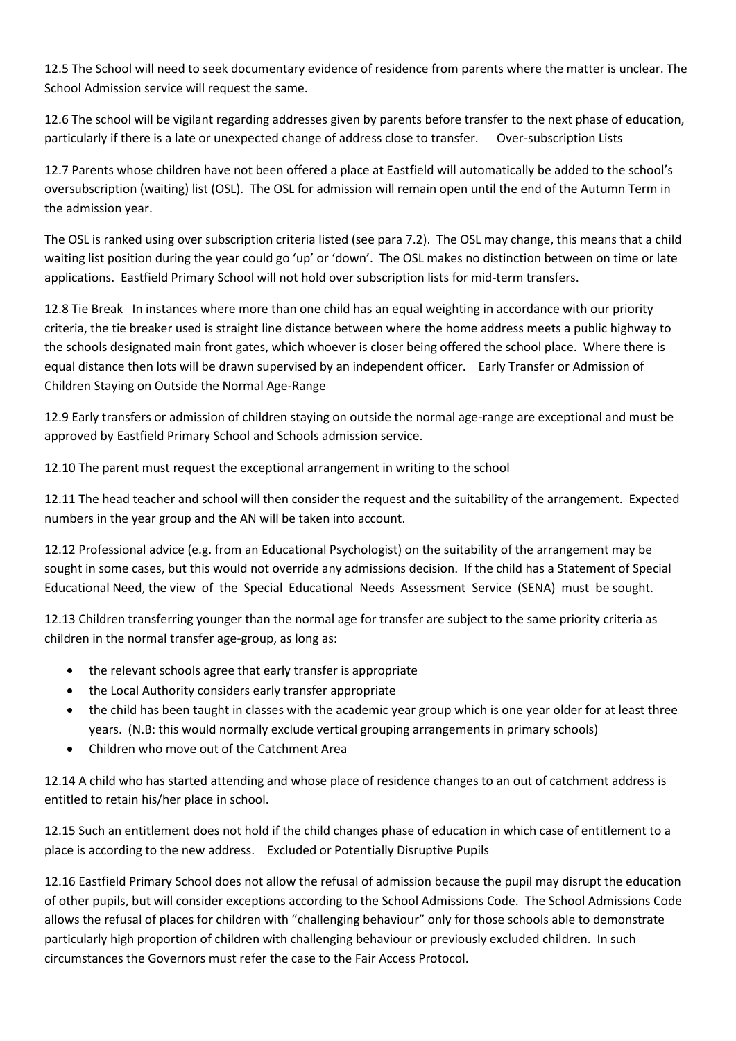12.5 The School will need to seek documentary evidence of residence from parents where the matter is unclear. The School Admission service will request the same.

12.6 The school will be vigilant regarding addresses given by parents before transfer to the next phase of education, particularly if there is a late or unexpected change of address close to transfer. Over-subscription Lists

12.7 Parents whose children have not been offered a place at Eastfield will automatically be added to the school's oversubscription (waiting) list (OSL). The OSL for admission will remain open until the end of the Autumn Term in the admission year.

The OSL is ranked using over subscription criteria listed (see para 7.2). The OSL may change, this means that a child waiting list position during the year could go 'up' or 'down'. The OSL makes no distinction between on time or late applications. Eastfield Primary School will not hold over subscription lists for mid-term transfers.

12.8 Tie Break In instances where more than one child has an equal weighting in accordance with our priority criteria, the tie breaker used is straight line distance between where the home address meets a public highway to the schools designated main front gates, which whoever is closer being offered the school place. Where there is equal distance then lots will be drawn supervised by an independent officer. Early Transfer or Admission of Children Staying on Outside the Normal Age-Range

12.9 Early transfers or admission of children staying on outside the normal age-range are exceptional and must be approved by Eastfield Primary School and Schools admission service.

12.10 The parent must request the exceptional arrangement in writing to the school

12.11 The head teacher and school will then consider the request and the suitability of the arrangement. Expected numbers in the year group and the AN will be taken into account.

12.12 Professional advice (e.g. from an Educational Psychologist) on the suitability of the arrangement may be sought in some cases, but this would not override any admissions decision. If the child has a Statement of Special Educational Need, the view of the Special Educational Needs Assessment Service (SENA) must be sought.

12.13 Children transferring younger than the normal age for transfer are subject to the same priority criteria as children in the normal transfer age-group, as long as:

- the relevant schools agree that early transfer is appropriate
- the Local Authority considers early transfer appropriate
- the child has been taught in classes with the academic year group which is one year older for at least three years. (N.B: this would normally exclude vertical grouping arrangements in primary schools)
- Children who move out of the Catchment Area

12.14 A child who has started attending and whose place of residence changes to an out of catchment address is entitled to retain his/her place in school.

12.15 Such an entitlement does not hold if the child changes phase of education in which case of entitlement to a place is according to the new address. Excluded or Potentially Disruptive Pupils

12.16 Eastfield Primary School does not allow the refusal of admission because the pupil may disrupt the education of other pupils, but will consider exceptions according to the School Admissions Code. The School Admissions Code allows the refusal of places for children with "challenging behaviour" only for those schools able to demonstrate particularly high proportion of children with challenging behaviour or previously excluded children. In such circumstances the Governors must refer the case to the Fair Access Protocol.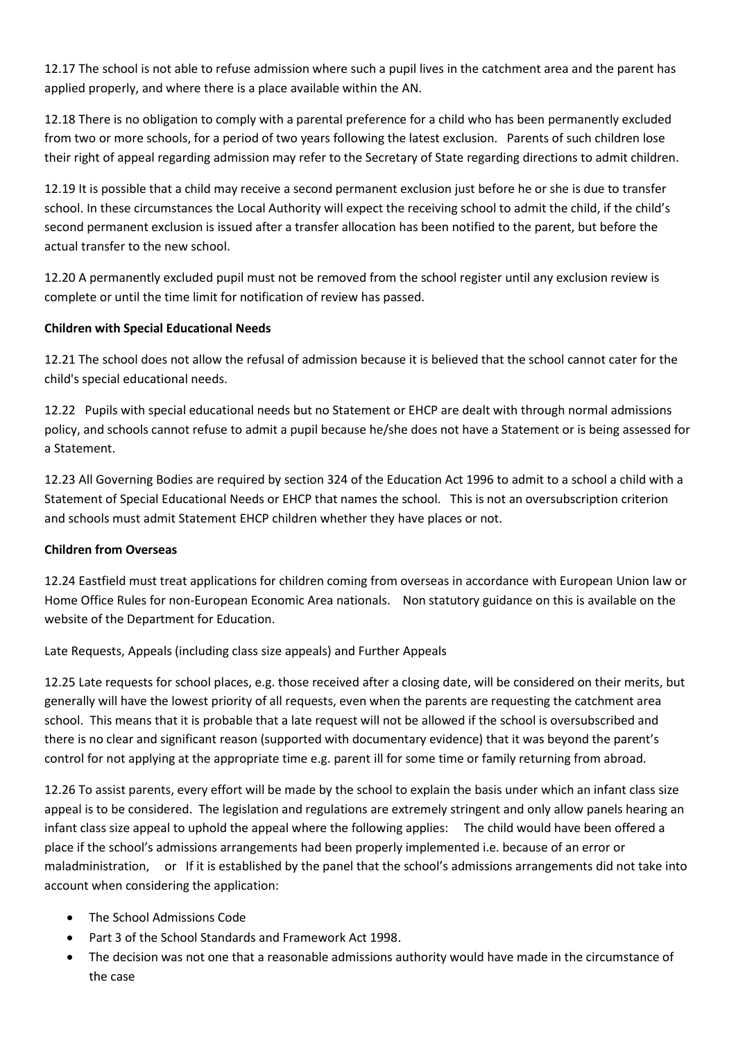12.17 The school is not able to refuse admission where such a pupil lives in the catchment area and the parent has applied properly, and where there is a place available within the AN.

12.18 There is no obligation to comply with a parental preference for a child who has been permanently excluded from two or more schools, for a period of two years following the latest exclusion. Parents of such children lose their right of appeal regarding admission may refer to the Secretary of State regarding directions to admit children.

12.19 It is possible that a child may receive a second permanent exclusion just before he or she is due to transfer school. In these circumstances the Local Authority will expect the receiving school to admit the child, if the child's second permanent exclusion is issued after a transfer allocation has been notified to the parent, but before the actual transfer to the new school.

12.20 A permanently excluded pupil must not be removed from the school register until any exclusion review is complete or until the time limit for notification of review has passed.

## **Children with Special Educational Needs**

12.21 The school does not allow the refusal of admission because it is believed that the school cannot cater for the child's special educational needs.

12.22 Pupils with special educational needs but no Statement or EHCP are dealt with through normal admissions policy, and schools cannot refuse to admit a pupil because he/she does not have a Statement or is being assessed for a Statement.

12.23 All Governing Bodies are required by section 324 of the Education Act 1996 to admit to a school a child with a Statement of Special Educational Needs or EHCP that names the school. This is not an oversubscription criterion and schools must admit Statement EHCP children whether they have places or not.

## **Children from Overseas**

12.24 Eastfield must treat applications for children coming from overseas in accordance with European Union law or Home Office Rules for non-European Economic Area nationals. Non statutory guidance on this is available on the website of the Department for Education.

## Late Requests, Appeals (including class size appeals) and Further Appeals

12.25 Late requests for school places, e.g. those received after a closing date, will be considered on their merits, but generally will have the lowest priority of all requests, even when the parents are requesting the catchment area school. This means that it is probable that a late request will not be allowed if the school is oversubscribed and there is no clear and significant reason (supported with documentary evidence) that it was beyond the parent's control for not applying at the appropriate time e.g. parent ill for some time or family returning from abroad.

12.26 To assist parents, every effort will be made by the school to explain the basis under which an infant class size appeal is to be considered. The legislation and regulations are extremely stringent and only allow panels hearing an infant class size appeal to uphold the appeal where the following applies: The child would have been offered a place if the school's admissions arrangements had been properly implemented i.e. because of an error or maladministration, or If it is established by the panel that the school's admissions arrangements did not take into account when considering the application:

- The School Admissions Code
- Part 3 of the School Standards and Framework Act 1998.
- The decision was not one that a reasonable admissions authority would have made in the circumstance of the case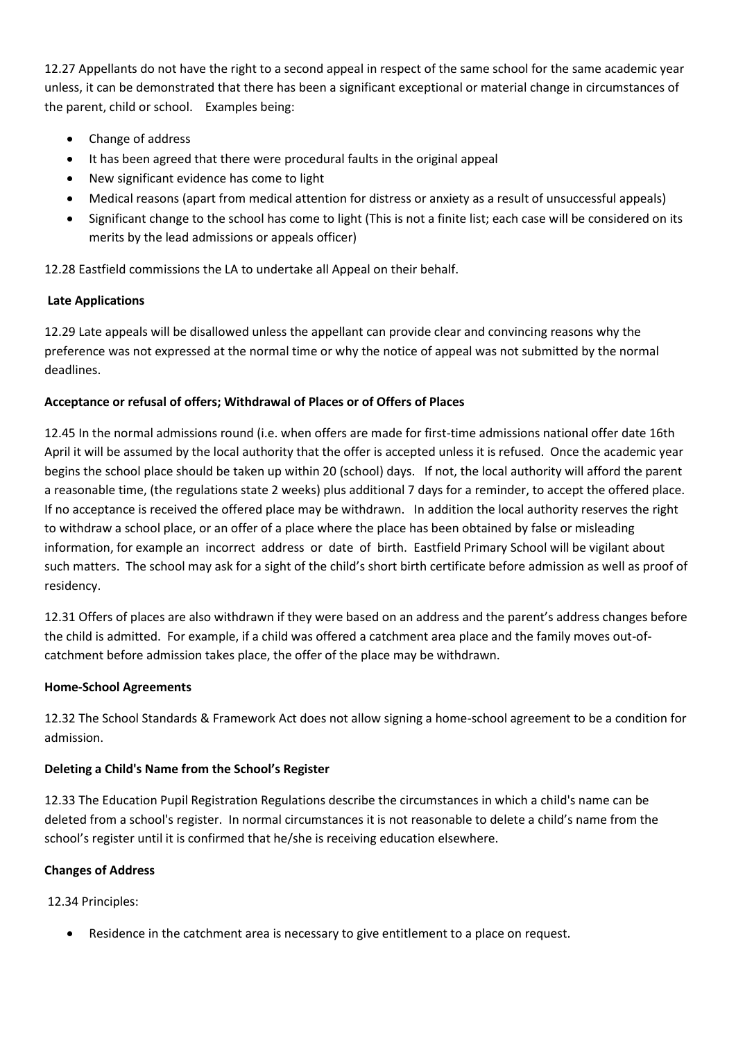12.27 Appellants do not have the right to a second appeal in respect of the same school for the same academic year unless, it can be demonstrated that there has been a significant exceptional or material change in circumstances of the parent, child or school. Examples being:

- Change of address
- It has been agreed that there were procedural faults in the original appeal
- New significant evidence has come to light
- Medical reasons (apart from medical attention for distress or anxiety as a result of unsuccessful appeals)
- Significant change to the school has come to light (This is not a finite list; each case will be considered on its merits by the lead admissions or appeals officer)

12.28 Eastfield commissions the LA to undertake all Appeal on their behalf.

#### **Late Applications**

12.29 Late appeals will be disallowed unless the appellant can provide clear and convincing reasons why the preference was not expressed at the normal time or why the notice of appeal was not submitted by the normal deadlines.

#### **Acceptance or refusal of offers; Withdrawal of Places or of Offers of Places**

12.45 In the normal admissions round (i.e. when offers are made for first-time admissions national offer date 16th April it will be assumed by the local authority that the offer is accepted unless it is refused. Once the academic year begins the school place should be taken up within 20 (school) days. If not, the local authority will afford the parent a reasonable time, (the regulations state 2 weeks) plus additional 7 days for a reminder, to accept the offered place. If no acceptance is received the offered place may be withdrawn. In addition the local authority reserves the right to withdraw a school place, or an offer of a place where the place has been obtained by false or misleading information, for example an incorrect address or date of birth. Eastfield Primary School will be vigilant about such matters. The school may ask for a sight of the child's short birth certificate before admission as well as proof of residency.

12.31 Offers of places are also withdrawn if they were based on an address and the parent's address changes before the child is admitted. For example, if a child was offered a catchment area place and the family moves out-ofcatchment before admission takes place, the offer of the place may be withdrawn.

#### **Home-School Agreements**

12.32 The School Standards & Framework Act does not allow signing a home-school agreement to be a condition for admission.

## **Deleting a Child's Name from the School's Register**

12.33 The Education Pupil Registration Regulations describe the circumstances in which a child's name can be deleted from a school's register. In normal circumstances it is not reasonable to delete a child's name from the school's register until it is confirmed that he/she is receiving education elsewhere.

## **Changes of Address**

12.34 Principles:

Residence in the catchment area is necessary to give entitlement to a place on request.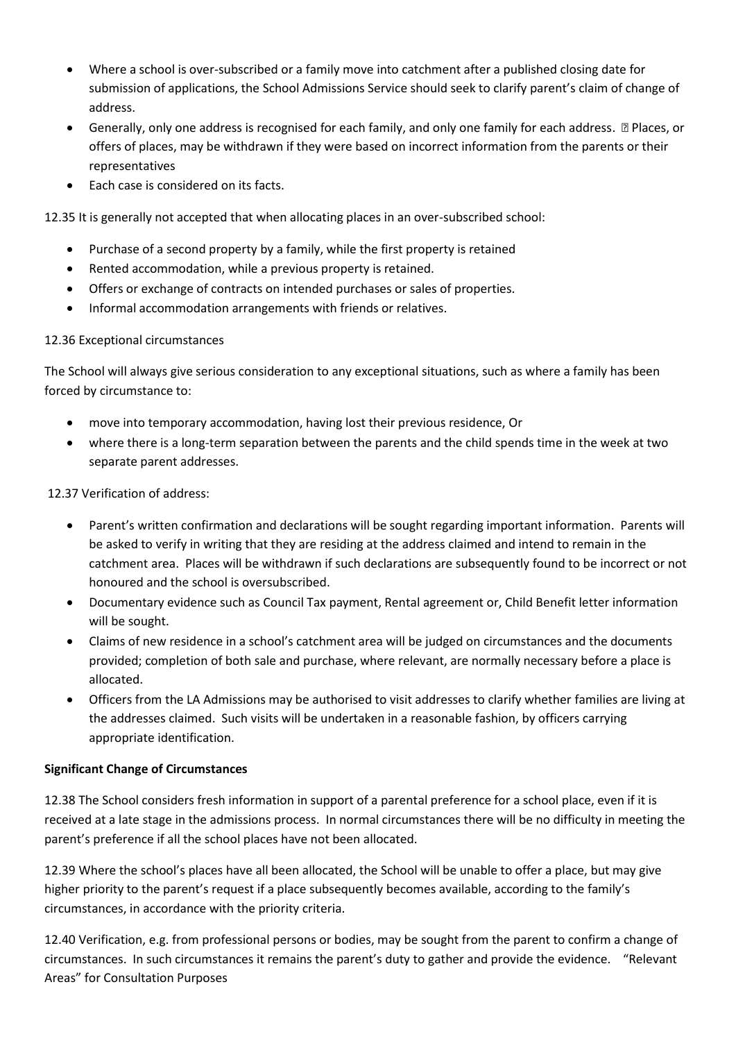- Where a school is over-subscribed or a family move into catchment after a published closing date for submission of applications, the School Admissions Service should seek to clarify parent's claim of change of address.
- Generally, only one address is recognised for each family, and only one family for each address. ƒ Places, or offers of places, may be withdrawn if they were based on incorrect information from the parents or their representatives
- Each case is considered on its facts.

12.35 It is generally not accepted that when allocating places in an over-subscribed school:

- Purchase of a second property by a family, while the first property is retained
- Rented accommodation, while a previous property is retained.
- Offers or exchange of contracts on intended purchases or sales of properties.
- Informal accommodation arrangements with friends or relatives.

## 12.36 Exceptional circumstances

The School will always give serious consideration to any exceptional situations, such as where a family has been forced by circumstance to:

- move into temporary accommodation, having lost their previous residence, Or
- where there is a long-term separation between the parents and the child spends time in the week at two separate parent addresses.

## 12.37 Verification of address:

- Parent's written confirmation and declarations will be sought regarding important information. Parents will be asked to verify in writing that they are residing at the address claimed and intend to remain in the catchment area. Places will be withdrawn if such declarations are subsequently found to be incorrect or not honoured and the school is oversubscribed.
- Documentary evidence such as Council Tax payment, Rental agreement or, Child Benefit letter information will be sought.
- Claims of new residence in a school's catchment area will be judged on circumstances and the documents provided; completion of both sale and purchase, where relevant, are normally necessary before a place is allocated.
- Officers from the LA Admissions may be authorised to visit addresses to clarify whether families are living at the addresses claimed. Such visits will be undertaken in a reasonable fashion, by officers carrying appropriate identification.

## **Significant Change of Circumstances**

12.38 The School considers fresh information in support of a parental preference for a school place, even if it is received at a late stage in the admissions process. In normal circumstances there will be no difficulty in meeting the parent's preference if all the school places have not been allocated.

12.39 Where the school's places have all been allocated, the School will be unable to offer a place, but may give higher priority to the parent's request if a place subsequently becomes available, according to the family's circumstances, in accordance with the priority criteria.

12.40 Verification, e.g. from professional persons or bodies, may be sought from the parent to confirm a change of circumstances. In such circumstances it remains the parent's duty to gather and provide the evidence. "Relevant Areas" for Consultation Purposes